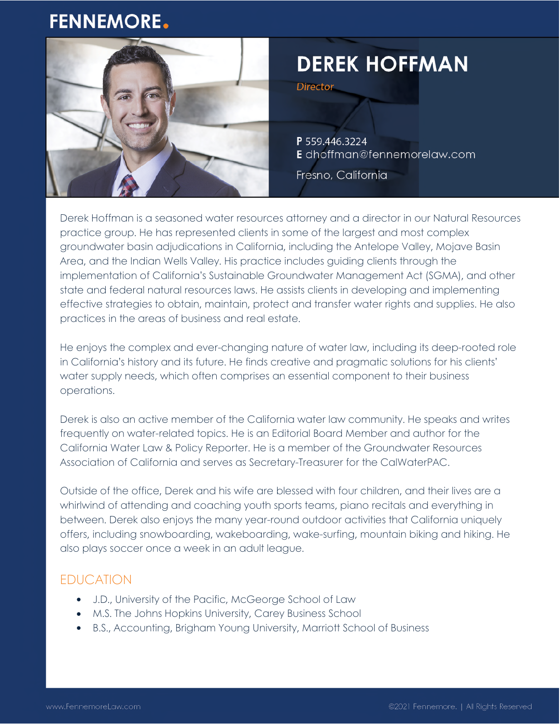## **FENNEMORE.**



# **DEREK HOFFMAN**

**Director** 

P 559.446.3224 E dhoffman@fennemorelaw.com

Fresno, California

Derek Hoffman is a seasoned water resources attorney and a director in our Natural Resources practice group. He has represented clients in some of the largest and most complex groundwater basin adjudications in California, including the Antelope Valley, Mojave Basin Area, and the Indian Wells Valley. His practice includes guiding clients through the implementation of California's Sustainable Groundwater Management Act (SGMA), and other state and federal natural resources laws. He assists clients in developing and implementing effective strategies to obtain, maintain, protect and transfer water rights and supplies. He also practices in the areas of business and real estate.

He enjoys the complex and ever-changing nature of water law, including its deep-rooted role in California's history and its future. He finds creative and pragmatic solutions for his clients' water supply needs, which often comprises an essential component to their business operations.

Derek is also an active member of the California water law community. He speaks and writes frequently on water-related topics. He is an Editorial Board Member and author for the California Water Law & Policy Reporter. He is a member of the Groundwater Resources Association of California and serves as Secretary-Treasurer for the CalWaterPAC.

Outside of the office, Derek and his wife are blessed with four children, and their lives are a whirlwind of attending and coaching youth sports teams, piano recitals and everything in between. Derek also enjoys the many year-round outdoor activities that California uniquely offers, including snowboarding, wakeboarding, wake-surfing, mountain biking and hiking. He also plays soccer once a week in an adult league.

### EDUCATION

- J.D., University of the Pacific, McGeorge School of Law
- M.S. The Johns Hopkins University, Carey Business School
- B.S., Accounting, Brigham Young University, Marriott School of Business